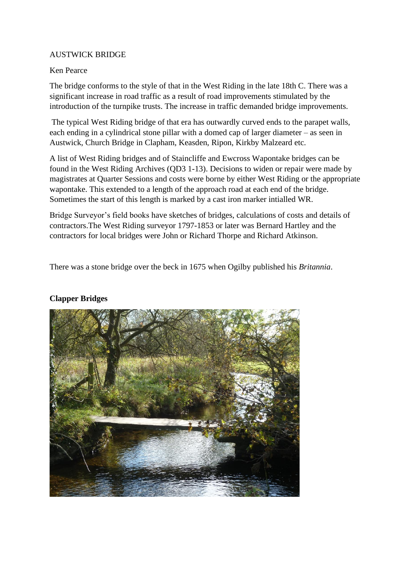## AUSTWICK BRIDGE

## Ken Pearce

The bridge conforms to the style of that in the West Riding in the late 18th C. There was a significant increase in road traffic as a result of road improvements stimulated by the introduction of the turnpike trusts. The increase in traffic demanded bridge improvements.

The typical West Riding bridge of that era has outwardly curved ends to the parapet walls, each ending in a cylindrical stone pillar with a domed cap of larger diameter – as seen in Austwick, Church Bridge in Clapham, Keasden, Ripon, Kirkby Malzeard etc.

A list of West Riding bridges and of Staincliffe and Ewcross Wapontake bridges can be found in the West Riding Archives (QD3 1-13). Decisions to widen or repair were made by magistrates at Quarter Sessions and costs were borne by either West Riding or the appropriate wapontake. This extended to a length of the approach road at each end of the bridge. Sometimes the start of this length is marked by a cast iron marker intialled WR.

Bridge Surveyor's field books have sketches of bridges, calculations of costs and details of contractors.The West Riding surveyor 1797-1853 or later was Bernard Hartley and the contractors for local bridges were John or Richard Thorpe and Richard Atkinson.

There was a stone bridge over the beck in 1675 when Ogilby published his *Britannia*.

## **Clapper Bridges**